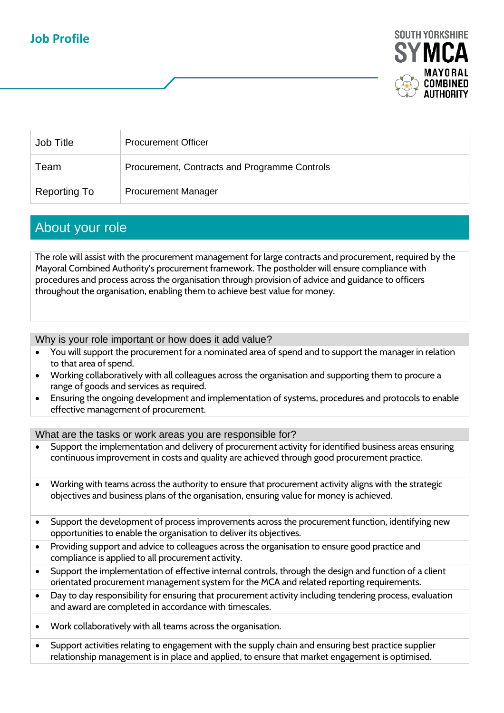## **Job Profile**



| Job Title    | <b>Procurement Officer</b>                    |
|--------------|-----------------------------------------------|
| Team         | Procurement, Contracts and Programme Controls |
| Reporting To | <b>Procurement Manager</b>                    |

## About your role

The role will assist with the procurement management for large contracts and procurement, required by the Mayoral Combined Authority's procurement framework. The postholder will ensure compliance with procedures and process across the organisation through provision of advice and guidance to officers throughout the organisation, enabling them to achieve best value for money.

Why is your role important or how does it add value?

- You will support the procurement for a nominated area of spend and to support the manager in relation to that area of spend.
- Working collaboratively with all colleagues across the organisation and supporting them to procure a range of goods and services as required.
- Ensuring the ongoing development and implementation of systems, procedures and protocols to enable effective management of procurement.

What are the tasks or work areas you are responsible for?

- Support the implementation and delivery of procurement activity for identified business areas ensuring continuous improvement in costs and quality are achieved through good procurement practice.
- Working with teams across the authority to ensure that procurement activity aligns with the strategic objectives and business plans of the organisation, ensuring value for money is achieved.
- Support the development of process improvements across the procurement function, identifying new opportunities to enable the organisation to deliver its objectives.
- Providing support and advice to colleagues across the organisation to ensure good practice and compliance is applied to all procurement activity.
- Support the implementation of effective internal controls, through the design and function of a client orientated procurement management system for the MCA and related reporting requirements.
- Day to day responsibility for ensuring that procurement activity including tendering process, evaluation and award are completed in accordance with timescales.
- Work collaboratively with all teams across the organisation.
- Support activities relating to engagement with the supply chain and ensuring best practice supplier relationship management is in place and applied, to ensure that market engagement is optimised.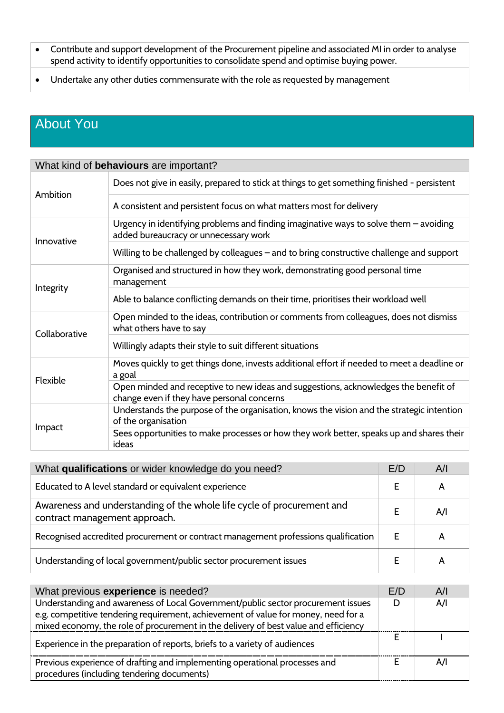- Contribute and support development of the Procurement pipeline and associated MI in order to analyse spend activity to identify opportunities to consolidate spend and optimise buying power.
- Undertake any other duties commensurate with the role as requested by management

## About You

| What kind of behaviours are important? |                                                                                                                                   |  |
|----------------------------------------|-----------------------------------------------------------------------------------------------------------------------------------|--|
| Ambition                               | Does not give in easily, prepared to stick at things to get something finished - persistent                                       |  |
|                                        | A consistent and persistent focus on what matters most for delivery                                                               |  |
| Innovative                             | Urgency in identifying problems and finding imaginative ways to solve them $-$ avoiding<br>added bureaucracy or unnecessary work  |  |
|                                        | Willing to be challenged by colleagues – and to bring constructive challenge and support                                          |  |
| Integrity                              | Organised and structured in how they work, demonstrating good personal time<br>management                                         |  |
|                                        | Able to balance conflicting demands on their time, prioritises their workload well                                                |  |
| Collaborative                          | Open minded to the ideas, contribution or comments from colleagues, does not dismiss<br>what others have to say                   |  |
|                                        | Willingly adapts their style to suit different situations                                                                         |  |
| Flexible                               | Moves quickly to get things done, invests additional effort if needed to meet a deadline or<br>a goal                             |  |
|                                        | Open minded and receptive to new ideas and suggestions, acknowledges the benefit of<br>change even if they have personal concerns |  |
| Impact                                 | Understands the purpose of the organisation, knows the vision and the strategic intention<br>of the organisation                  |  |
|                                        | Sees opportunities to make processes or how they work better, speaks up and shares their<br>ideas                                 |  |

| What qualifications or wider knowledge do you need?                                                     |  | A/I |
|---------------------------------------------------------------------------------------------------------|--|-----|
| Educated to A level standard or equivalent experience                                                   |  | А   |
| Awareness and understanding of the whole life cycle of procurement and<br>contract management approach. |  | A/I |
| Recognised accredited procurement or contract management professions qualification                      |  | A   |
| Understanding of local government/public sector procurement issues                                      |  | А   |

| What previous experience is needed?                                                                                                                                    |   | A/I |
|------------------------------------------------------------------------------------------------------------------------------------------------------------------------|---|-----|
| Understanding and awareness of Local Government/public sector procurement issues<br>e.g. competitive tendering requirement, achievement of value for money, need for a | D | A/I |
| mixed economy, the role of procurement in the delivery of best value and efficiency                                                                                    |   |     |
| Experience in the preparation of reports, briefs to a variety of audiences                                                                                             |   |     |
| Previous experience of drafting and implementing operational processes and<br>procedures (including tendering documents)                                               |   | AΛ  |